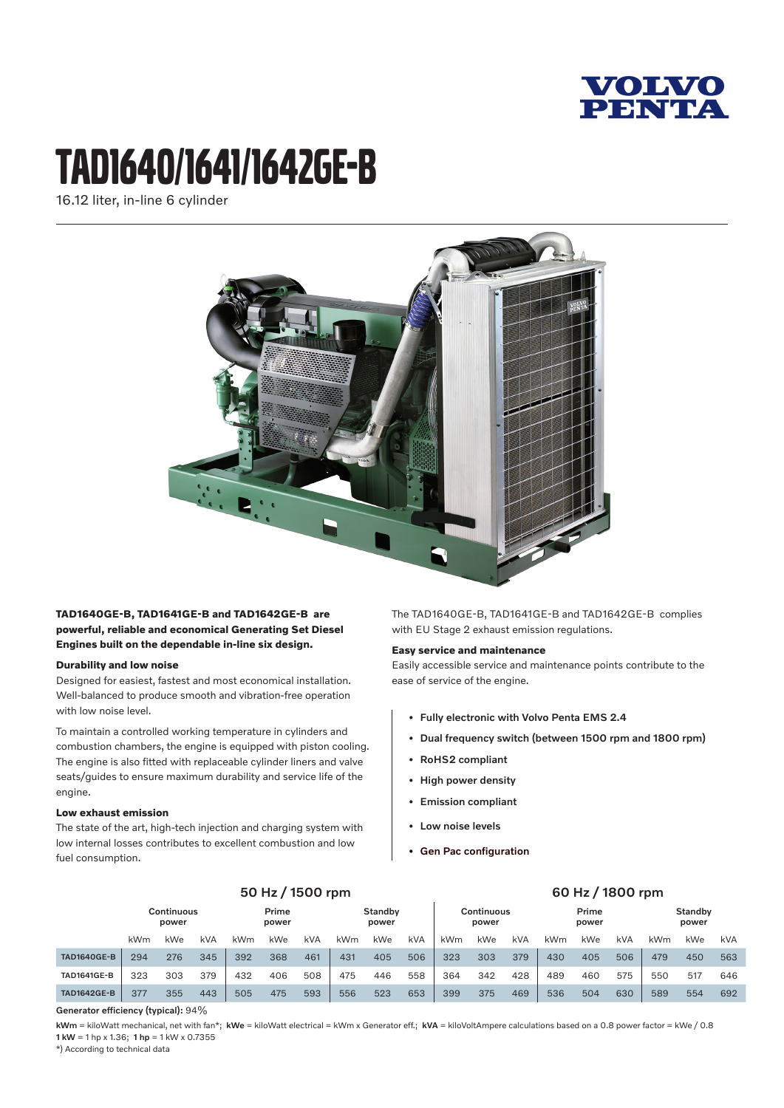

# tAD1640/1641/1642ge-B

16.12 liter, in-line 6 cylinder



# **TAD1640GE-B, TAD1641GE-B and TAD1642GE-B are powerful, reliable and economical Generating Set Diesel Engines built on the dependable in-line six design.**

# **Durability and low noise**

Designed for easiest, fastest and most economical installation. Well-balanced to produce smooth and vibration-free operation with low noise level.

To maintain a controlled working temperature in cylinders and combustion chambers, the engine is equipped with piston cooling. The engine is also fitted with replaceable cylinder liners and valve seats/guides to ensure maximum durability and service life of the engine.

## **Low exhaust emission**

The state of the art, high-tech injection and charging system with low internal losses contributes to excellent combustion and low fuel consumption.

The TAD1640GE-B, TAD1641GE-B and TAD1642GE-B complies with EU Stage 2 exhaust emission regulations.

#### **Easy service and maintenance**

Easily accessible service and maintenance points contribute to the ease of service of the engine.

- Fully electronic with Volvo Penta EMS 2.4
- Dual frequency switch (between 1500 rpm and 1800 rpm)
- RoHS2 compliant
- High power density
- Emission compliant
- Low noise levels
- Gen Pac configuration

|                    | 50 Hz / 1500 rpm           |     |            |                |     |                  | 60 Hz / 1800 rpm |                            |     |                |     |                  |     |     |     |     |     |     |
|--------------------|----------------------------|-----|------------|----------------|-----|------------------|------------------|----------------------------|-----|----------------|-----|------------------|-----|-----|-----|-----|-----|-----|
|                    | <b>Continuous</b><br>power |     |            | Prime<br>power |     | Standby<br>power |                  | <b>Continuous</b><br>power |     | Prime<br>power |     | Standby<br>power |     |     |     |     |     |     |
|                    | kWm                        | kWe | <b>kVA</b> | kWm            | kWe | kVA              | kWm              | <b>kWe</b>                 | kVA | kWm            | kWe | <b>kVA</b>       | kWm | kWe | kVA | kWm | kWe | kVA |
| <b>TAD1640GE-B</b> | 294                        | 276 | 345        | 392            | 368 | 461              | 431              | 405                        | 506 | 323            | 303 | 379              | 430 | 405 | 506 | 479 | 450 | 563 |
| <b>TAD1641GE-B</b> | 323                        | 303 | 379        | 432            | 406 | 508              | 475              | 446                        | 558 | 364            | 342 | 428              | 489 | 460 | 575 | 550 | 517 | 646 |
| <b>TAD1642GE-B</b> | 377                        | 355 | 443        | 505            | 475 | 593              | 556              | 523                        | 653 | 399            | 375 | 469              | 536 | 504 | 630 | 589 | 554 | 692 |

Generator efficiency (typical): 94%

kWm = kiloWatt mechanical, net with fan\*; kWe = kiloWatt electrical = kWm x Generator eff.; kVA = kiloVoltAmpere calculations based on a 0.8 power factor = kWe / 0.8 1 kW = 1 hp x 1.36; 1 hp = 1 kW x 0.7355

\*) According to technical data